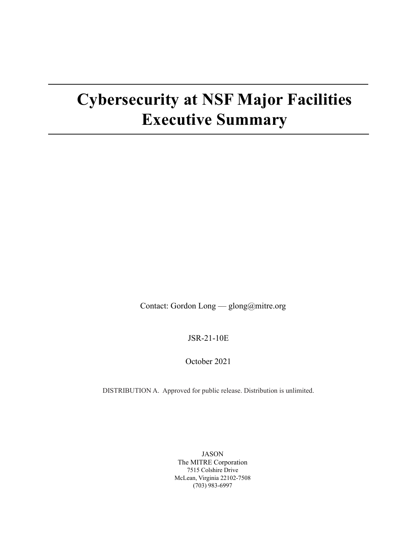# **Cybersecurity at NSF Major Facilities Executive Summary**

Contact: Gordon Long — glong@mitre.org

JSR-21-10E

October 2021

DISTRIBUTION A. Approved for public release. Distribution is unlimited.

JASON The MITRE Corporation 7515 Colshire Drive McLean, Virginia 22102-7508 (703) 983-6997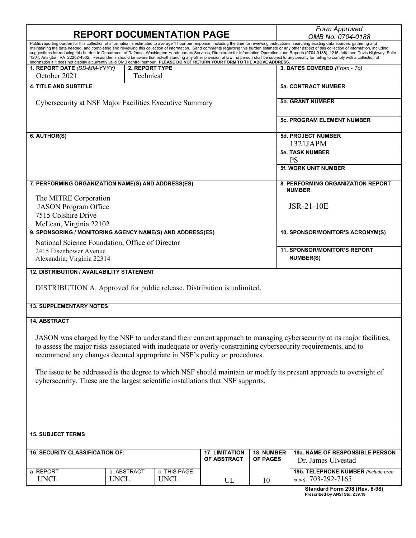## **REPORT DOCUMENTATION PAGE** *Form Approved*

*OMB No. 0704-0188*

| information if it does not display a currently valid OMB control number. PLEASE DO NOT RETURN YOUR FORM TO THE ABOVE ADDRESS.                                                                                                                                                                                                            |                             |                                      |                        |                                                         | Public reporting burden for this collection of information is estimated to average 1 hour per response, including the time for reviewing instructions, searching existing data sources, gathering and<br>maintaining the data needed, and completing and reviewing this collection of information. Send comments regarding this burden estimate or any other aspect of this collection of information, including<br>suggestions for reducing this burden to Department of Defense, Washington Headquarters Services, Directorate for Information Operations and Reports (0704-0188), 1215 Jefferson Davis Highway, Suite<br>1204, Arlington, VA 22202-4302. Respondents should be aware that notwithstanding any other provision of law, no person shall be subject to any penalty for failing to comply with a collection of |
|------------------------------------------------------------------------------------------------------------------------------------------------------------------------------------------------------------------------------------------------------------------------------------------------------------------------------------------|-----------------------------|--------------------------------------|------------------------|---------------------------------------------------------|-------------------------------------------------------------------------------------------------------------------------------------------------------------------------------------------------------------------------------------------------------------------------------------------------------------------------------------------------------------------------------------------------------------------------------------------------------------------------------------------------------------------------------------------------------------------------------------------------------------------------------------------------------------------------------------------------------------------------------------------------------------------------------------------------------------------------------|
| 1. REPORT DATE (DD-MM-YYYY)<br>October 2021                                                                                                                                                                                                                                                                                              | 2. REPORT TYPE<br>Technical |                                      |                        |                                                         | 3. DATES COVERED (From - To)                                                                                                                                                                                                                                                                                                                                                                                                                                                                                                                                                                                                                                                                                                                                                                                                  |
| <b>4. TITLE AND SUBTITLE</b>                                                                                                                                                                                                                                                                                                             |                             |                                      |                        | <b>5a. CONTRACT NUMBER</b>                              |                                                                                                                                                                                                                                                                                                                                                                                                                                                                                                                                                                                                                                                                                                                                                                                                                               |
| Cybersecurity at NSF Major Facilities Executive Summary                                                                                                                                                                                                                                                                                  |                             |                                      |                        | <b>5b. GRANT NUMBER</b>                                 |                                                                                                                                                                                                                                                                                                                                                                                                                                                                                                                                                                                                                                                                                                                                                                                                                               |
|                                                                                                                                                                                                                                                                                                                                          |                             |                                      |                        |                                                         | <b>5c. PROGRAM ELEMENT NUMBER</b>                                                                                                                                                                                                                                                                                                                                                                                                                                                                                                                                                                                                                                                                                                                                                                                             |
| 6. AUTHOR(S)                                                                                                                                                                                                                                                                                                                             |                             |                                      |                        | 5d. PROJECT NUMBER<br>1321JAPM                          |                                                                                                                                                                                                                                                                                                                                                                                                                                                                                                                                                                                                                                                                                                                                                                                                                               |
|                                                                                                                                                                                                                                                                                                                                          |                             |                                      |                        | <b>5e. TASK NUMBER</b><br><b>PS</b>                     |                                                                                                                                                                                                                                                                                                                                                                                                                                                                                                                                                                                                                                                                                                                                                                                                                               |
|                                                                                                                                                                                                                                                                                                                                          |                             |                                      |                        | <b>5f. WORK UNIT NUMBER</b>                             |                                                                                                                                                                                                                                                                                                                                                                                                                                                                                                                                                                                                                                                                                                                                                                                                                               |
| 7. PERFORMING ORGANIZATION NAME(S) AND ADDRESS(ES)                                                                                                                                                                                                                                                                                       |                             |                                      |                        | 8. PERFORMING ORGANIZATION REPORT<br><b>NUMBER</b>      |                                                                                                                                                                                                                                                                                                                                                                                                                                                                                                                                                                                                                                                                                                                                                                                                                               |
| The MITRE Corporation<br><b>JASON</b> Program Office<br>7515 Colshire Drive                                                                                                                                                                                                                                                              |                             |                                      |                        | JSR-21-10E                                              |                                                                                                                                                                                                                                                                                                                                                                                                                                                                                                                                                                                                                                                                                                                                                                                                                               |
| McLean, Virginia 22102<br>9. SPONSORING / MONITORING AGENCY NAME(S) AND ADDRESS(ES)                                                                                                                                                                                                                                                      |                             |                                      |                        |                                                         | 10. SPONSOR/MONITOR'S ACRONYM(S)                                                                                                                                                                                                                                                                                                                                                                                                                                                                                                                                                                                                                                                                                                                                                                                              |
| National Science Foundation, Office of Director                                                                                                                                                                                                                                                                                          |                             |                                      |                        |                                                         |                                                                                                                                                                                                                                                                                                                                                                                                                                                                                                                                                                                                                                                                                                                                                                                                                               |
| 2415 Eisenhower Avenue<br>Alexandria, Virginia 22314                                                                                                                                                                                                                                                                                     |                             |                                      |                        | <b>11. SPONSOR/MONITOR'S REPORT</b><br><b>NUMBER(S)</b> |                                                                                                                                                                                                                                                                                                                                                                                                                                                                                                                                                                                                                                                                                                                                                                                                                               |
| <b>12. DISTRIBUTION / AVAILABILITY STATEMENT</b>                                                                                                                                                                                                                                                                                         |                             |                                      |                        |                                                         |                                                                                                                                                                                                                                                                                                                                                                                                                                                                                                                                                                                                                                                                                                                                                                                                                               |
| DISTRIBUTION A. Approved for public release. Distribution is unlimited.                                                                                                                                                                                                                                                                  |                             |                                      |                        |                                                         |                                                                                                                                                                                                                                                                                                                                                                                                                                                                                                                                                                                                                                                                                                                                                                                                                               |
| <b>13. SUPPLEMENTARY NOTES</b>                                                                                                                                                                                                                                                                                                           |                             |                                      |                        |                                                         |                                                                                                                                                                                                                                                                                                                                                                                                                                                                                                                                                                                                                                                                                                                                                                                                                               |
| <b>14. ABSTRACT</b><br>JASON was charged by the NSF to understand their current approach to managing cybersecurity at its major facilities,<br>to assess the major risks associated with inadequate or overly-constraining cybersecurity requirements, and to<br>recommend any changes deemed appropriate in NSF's policy or procedures. |                             |                                      |                        |                                                         |                                                                                                                                                                                                                                                                                                                                                                                                                                                                                                                                                                                                                                                                                                                                                                                                                               |
| The issue to be addressed is the degree to which NSF should maintain or modify its present approach to oversight of<br>cybersecurity. These are the largest scientific installations that NSF supports.                                                                                                                                  |                             |                                      |                        |                                                         |                                                                                                                                                                                                                                                                                                                                                                                                                                                                                                                                                                                                                                                                                                                                                                                                                               |
|                                                                                                                                                                                                                                                                                                                                          |                             |                                      |                        |                                                         |                                                                                                                                                                                                                                                                                                                                                                                                                                                                                                                                                                                                                                                                                                                                                                                                                               |
| <b>15. SUBJECT TERMS</b>                                                                                                                                                                                                                                                                                                                 |                             |                                      |                        |                                                         |                                                                                                                                                                                                                                                                                                                                                                                                                                                                                                                                                                                                                                                                                                                                                                                                                               |
| <b>16. SECURITY CLASSIFICATION OF:</b>                                                                                                                                                                                                                                                                                                   |                             | <b>17. LIMITATION</b><br>OF ABSTRACT | 18. NUMBER<br>OF PAGES | 19a. NAME OF RESPONSIBLE PERSON<br>Dr. James Ulvestad   |                                                                                                                                                                                                                                                                                                                                                                                                                                                                                                                                                                                                                                                                                                                                                                                                                               |
| a. REPORT<br><b>UNCL</b>                                                                                                                                                                                                                                                                                                                 | b. ABSTRACT<br><b>UNCL</b>  | c. THIS PAGE<br><b>UNCL</b>          | UL                     | 10                                                      | 19b. TELEPHONE NUMBER (include area<br>code) 703-292-7165                                                                                                                                                                                                                                                                                                                                                                                                                                                                                                                                                                                                                                                                                                                                                                     |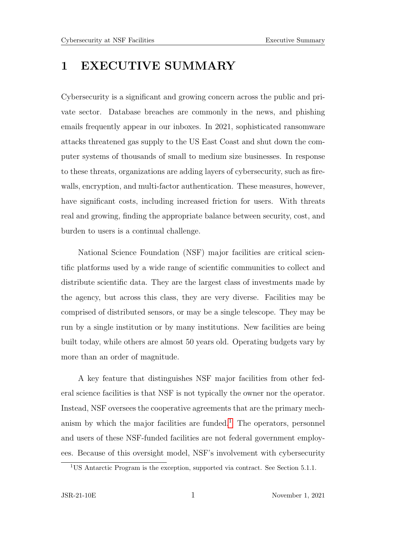## 1 EXECUTIVE SUMMARY

Cybersecurity is a significant and growing concern across the public and private sector. Database breaches are commonly in the news, and phishing emails frequently appear in our inboxes. In 2021, sophisticated ransomware attacks threatened gas supply to the US East Coast and shut down the computer systems of thousands of small to medium size businesses. In response to these threats, organizations are adding layers of cybersecurity, such as firewalls, encryption, and multi-factor authentication. These measures, however, have significant costs, including increased friction for users. With threats real and growing, finding the appropriate balance between security, cost, and burden to users is a continual challenge.

National Science Foundation (NSF) major facilities are critical scientific platforms used by a wide range of scientific communities to collect and distribute scientific data. They are the largest class of investments made by the agency, but across this class, they are very diverse. Facilities may be comprised of distributed sensors, or may be a single telescope. They may be run by a single institution or by many institutions. New facilities are being built today, while others are almost 50 years old. Operating budgets vary by more than an order of magnitude.

A key feature that distinguishes NSF major facilities from other federal science facilities is that NSF is not typically the owner nor the operator. Instead, NSF oversees the cooperative agreements that are the primary mech-anism by which the major facilities are funded.<sup>[1](#page-4-0)</sup> The operators, personnel and users of these NSF-funded facilities are not federal government employees. Because of this oversight model, NSF's involvement with cybersecurity

<span id="page-4-0"></span><sup>1</sup>US Antarctic Program is the exception, supported via contract. See Section 5.1.1.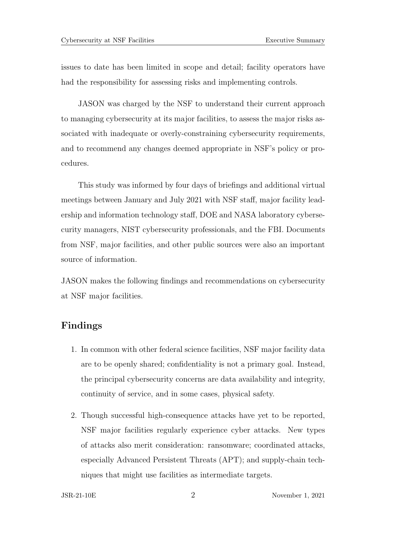issues to date has been limited in scope and detail; facility operators have had the responsibility for assessing risks and implementing controls.

JASON was charged by the NSF to understand their current approach to managing cybersecurity at its major facilities, to assess the major risks associated with inadequate or overly-constraining cybersecurity requirements, and to recommend any changes deemed appropriate in NSF's policy or procedures.

This study was informed by four days of briefings and additional virtual meetings between January and July 2021 with NSF staff, major facility leadership and information technology staff, DOE and NASA laboratory cybersecurity managers, NIST cybersecurity professionals, and the FBI. Documents from NSF, major facilities, and other public sources were also an important source of information.

JASON makes the following findings and recommendations on cybersecurity at NSF major facilities.

### Findings

- 1. In common with other federal science facilities, NSF major facility data are to be openly shared; confidentiality is not a primary goal. Instead, the principal cybersecurity concerns are data availability and integrity, continuity of service, and in some cases, physical safety.
- 2. Though successful high-consequence attacks have yet to be reported, NSF major facilities regularly experience cyber attacks. New types of attacks also merit consideration: ransomware; coordinated attacks, especially Advanced Persistent Threats (APT); and supply-chain techniques that might use facilities as intermediate targets.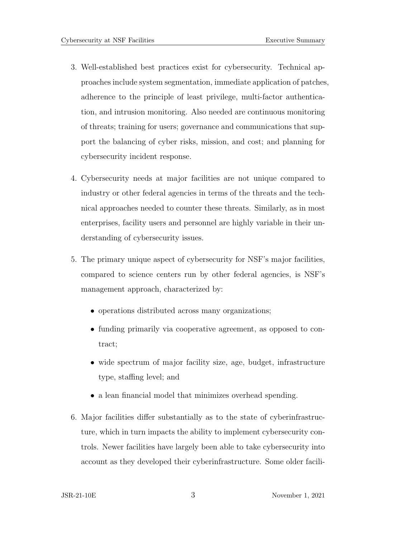- 3. Well-established best practices exist for cybersecurity. Technical approaches include system segmentation, immediate application of patches, adherence to the principle of least privilege, multi-factor authentication, and intrusion monitoring. Also needed are continuous monitoring of threats; training for users; governance and communications that support the balancing of cyber risks, mission, and cost; and planning for cybersecurity incident response.
- 4. Cybersecurity needs at major facilities are not unique compared to industry or other federal agencies in terms of the threats and the technical approaches needed to counter these threats. Similarly, as in most enterprises, facility users and personnel are highly variable in their understanding of cybersecurity issues.
- 5. The primary unique aspect of cybersecurity for NSF's major facilities, compared to science centers run by other federal agencies, is NSF's management approach, characterized by:
	- operations distributed across many organizations;
	- funding primarily via cooperative agreement, as opposed to contract;
	- wide spectrum of major facility size, age, budget, infrastructure type, staffing level; and
	- a lean financial model that minimizes overhead spending.
- 6. Major facilities differ substantially as to the state of cyberinfrastructure, which in turn impacts the ability to implement cybersecurity controls. Newer facilities have largely been able to take cybersecurity into account as they developed their cyberinfrastructure. Some older facili-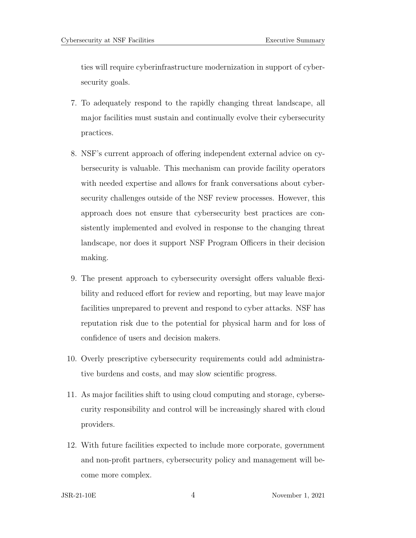ties will require cyberinfrastructure modernization in support of cybersecurity goals.

- 7. To adequately respond to the rapidly changing threat landscape, all major facilities must sustain and continually evolve their cybersecurity practices.
- 8. NSF's current approach of offering independent external advice on cybersecurity is valuable. This mechanism can provide facility operators with needed expertise and allows for frank conversations about cybersecurity challenges outside of the NSF review processes. However, this approach does not ensure that cybersecurity best practices are consistently implemented and evolved in response to the changing threat landscape, nor does it support NSF Program Officers in their decision making.
- 9. The present approach to cybersecurity oversight offers valuable flexibility and reduced effort for review and reporting, but may leave major facilities unprepared to prevent and respond to cyber attacks. NSF has reputation risk due to the potential for physical harm and for loss of confidence of users and decision makers.
- 10. Overly prescriptive cybersecurity requirements could add administrative burdens and costs, and may slow scientific progress.
- 11. As major facilities shift to using cloud computing and storage, cybersecurity responsibility and control will be increasingly shared with cloud providers.
- 12. With future facilities expected to include more corporate, government and non-profit partners, cybersecurity policy and management will become more complex.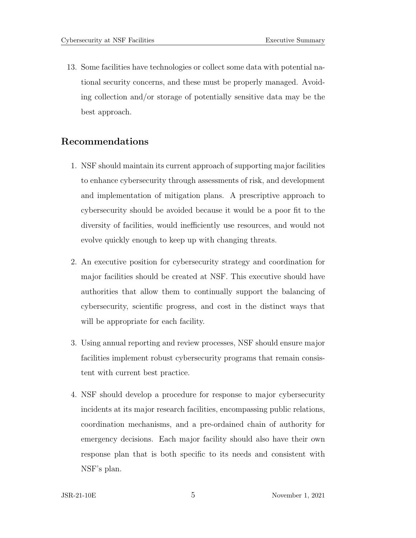13. Some facilities have technologies or collect some data with potential national security concerns, and these must be properly managed. Avoiding collection and/or storage of potentially sensitive data may be the best approach.

#### Recommendations

- 1. NSF should maintain its current approach of supporting major facilities to enhance cybersecurity through assessments of risk, and development and implementation of mitigation plans. A prescriptive approach to cybersecurity should be avoided because it would be a poor fit to the diversity of facilities, would inefficiently use resources, and would not evolve quickly enough to keep up with changing threats.
- 2. An executive position for cybersecurity strategy and coordination for major facilities should be created at NSF. This executive should have authorities that allow them to continually support the balancing of cybersecurity, scientific progress, and cost in the distinct ways that will be appropriate for each facility.
- 3. Using annual reporting and review processes, NSF should ensure major facilities implement robust cybersecurity programs that remain consistent with current best practice.
- 4. NSF should develop a procedure for response to major cybersecurity incidents at its major research facilities, encompassing public relations, coordination mechanisms, and a pre-ordained chain of authority for emergency decisions. Each major facility should also have their own response plan that is both specific to its needs and consistent with NSF's plan.